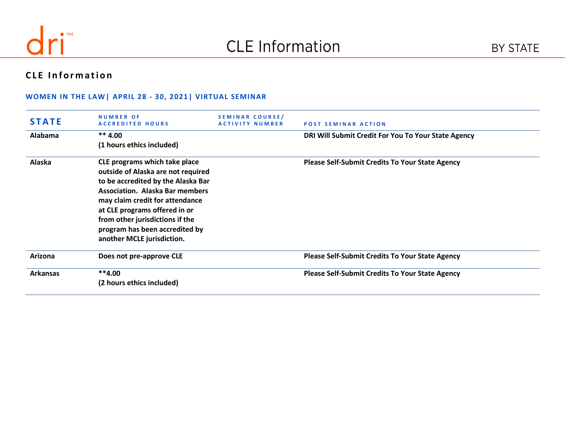

# **CLE** Information

#### **WOMEN IN THE LAW| APRIL 28 - 30, 2021| VIRTUAL SEMINAR**

| <b>STATE</b>    | <b>NUMBER OF</b><br><b>ACCREDITED HOURS</b>                                                                                                                                                                                                                                                                                | <b>SEMINAR COURSE/</b><br><b>ACTIVITY NUMBER</b> | <b>POST SEMINAR ACTION</b>                             |
|-----------------|----------------------------------------------------------------------------------------------------------------------------------------------------------------------------------------------------------------------------------------------------------------------------------------------------------------------------|--------------------------------------------------|--------------------------------------------------------|
| <b>Alabama</b>  | $** 4.00$<br>(1 hours ethics included)                                                                                                                                                                                                                                                                                     |                                                  | DRI Will Submit Credit For You To Your State Agency    |
| Alaska          | CLE programs which take place<br>outside of Alaska are not required<br>to be accredited by the Alaska Bar<br><b>Association. Alaska Bar members</b><br>may claim credit for attendance<br>at CLE programs offered in or<br>from other jurisdictions if the<br>program has been accredited by<br>another MCLE jurisdiction. |                                                  | <b>Please Self-Submit Credits To Your State Agency</b> |
| Arizona         | Does not pre-approve CLE                                                                                                                                                                                                                                                                                                   |                                                  | <b>Please Self-Submit Credits To Your State Agency</b> |
| <b>Arkansas</b> | $**4.00$<br>(2 hours ethics included)                                                                                                                                                                                                                                                                                      |                                                  | <b>Please Self-Submit Credits To Your State Agency</b> |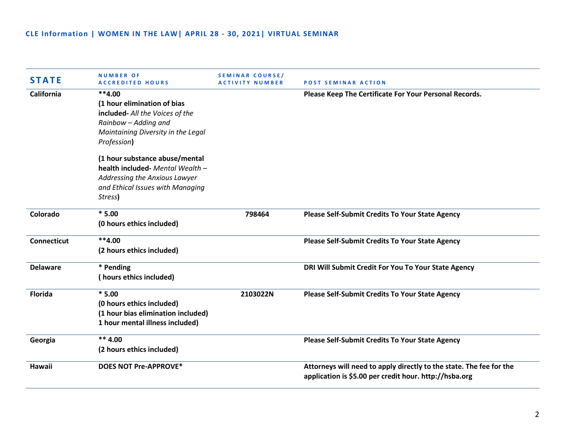| <b>STATE</b>       | <b>NUMBER OF</b><br><b>ACCREDITED HOURS</b>                                                                                                             | <b>SEMINAR COURSE/</b><br>ACTIVITY NUMBER | <b>POST SEMINAR ACTION</b>                                                                                                    |
|--------------------|---------------------------------------------------------------------------------------------------------------------------------------------------------|-------------------------------------------|-------------------------------------------------------------------------------------------------------------------------------|
| California         | $**4.00$<br>(1 hour elimination of bias<br>included- All the Voices of the<br>Rainbow - Adding and<br>Maintaining Diversity in the Legal<br>Profession) |                                           | Please Keep The Certificate For Your Personal Records.                                                                        |
|                    | (1 hour substance abuse/mental<br>health included- Mental Wealth -<br>Addressing the Anxious Lawyer<br>and Ethical Issues with Managing<br>Stress)      |                                           |                                                                                                                               |
| Colorado           | $*5.00$<br>(0 hours ethics included)                                                                                                                    | 798464                                    | <b>Please Self-Submit Credits To Your State Agency</b>                                                                        |
| <b>Connecticut</b> | $**4.00$<br>(2 hours ethics included)                                                                                                                   |                                           | <b>Please Self-Submit Credits To Your State Agency</b>                                                                        |
| <b>Delaware</b>    | * Pending<br>(hours ethics included)                                                                                                                    |                                           | DRI Will Submit Credit For You To Your State Agency                                                                           |
| <b>Florida</b>     | $*5.00$<br>(0 hours ethics included)<br>(1 hour bias elimination included)<br>1 hour mental illness included)                                           | 2103022N                                  | <b>Please Self-Submit Credits To Your State Agency</b>                                                                        |
| Georgia            | $** 4.00$<br>(2 hours ethics included)                                                                                                                  |                                           | <b>Please Self-Submit Credits To Your State Agency</b>                                                                        |
| Hawaii             | <b>DOES NOT Pre-APPROVE*</b>                                                                                                                            |                                           | Attorneys will need to apply directly to the state. The fee for the<br>application is \$5.00 per credit hour. http://hsba.org |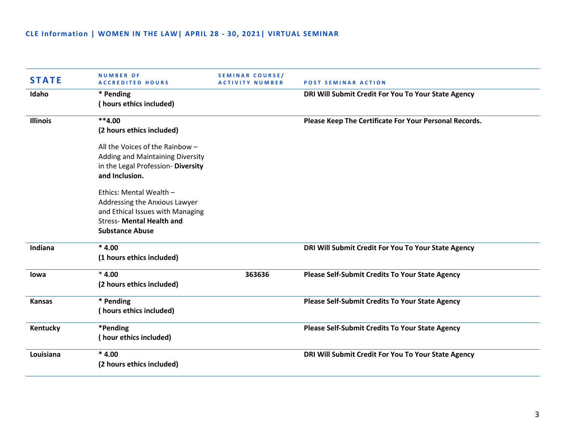## **CLE Information | WOMEN IN THE LAW| APRIL 28 - 30, 2021| VIRTUAL SEMINAR**

| <b>STATE</b>    | <b>NUMBER OF</b><br><b>ACCREDITED HOURS</b>                                                                                                                | <b>SEMINAR COURSE/</b><br><b>ACTIVITY NUMBER</b> | <b>POST SEMINAR ACTION</b>                             |
|-----------------|------------------------------------------------------------------------------------------------------------------------------------------------------------|--------------------------------------------------|--------------------------------------------------------|
| Idaho           | * Pending<br>(hours ethics included)                                                                                                                       |                                                  | DRI Will Submit Credit For You To Your State Agency    |
| <b>Illinois</b> | $**4.00$<br>(2 hours ethics included)                                                                                                                      |                                                  | Please Keep The Certificate For Your Personal Records. |
|                 | All the Voices of the Rainbow -<br>Adding and Maintaining Diversity<br>in the Legal Profession- Diversity<br>and Inclusion.                                |                                                  |                                                        |
|                 | Ethics: Mental Wealth -<br>Addressing the Anxious Lawyer<br>and Ethical Issues with Managing<br><b>Stress- Mental Health and</b><br><b>Substance Abuse</b> |                                                  |                                                        |
| Indiana         | $*4.00$<br>(1 hours ethics included)                                                                                                                       |                                                  | DRI Will Submit Credit For You To Your State Agency    |
| <b>lowa</b>     | $*4.00$<br>(2 hours ethics included)                                                                                                                       | 363636                                           | <b>Please Self-Submit Credits To Your State Agency</b> |
| <b>Kansas</b>   | * Pending<br>(hours ethics included)                                                                                                                       |                                                  | <b>Please Self-Submit Credits To Your State Agency</b> |
| Kentucky        | *Pending<br>(hour ethics included)                                                                                                                         |                                                  | <b>Please Self-Submit Credits To Your State Agency</b> |
| Louisiana       | $*4.00$<br>(2 hours ethics included)                                                                                                                       |                                                  | DRI Will Submit Credit For You To Your State Agency    |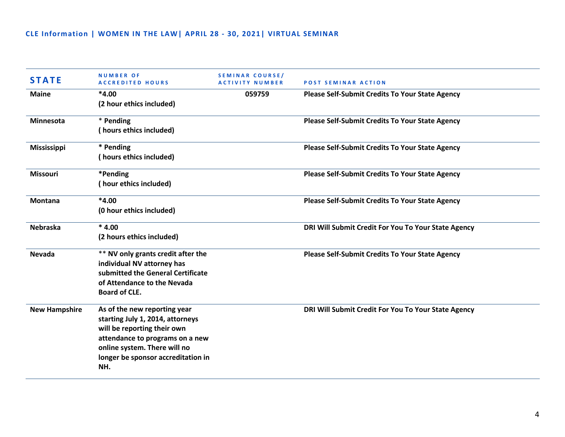## **CLE Information | WOMEN IN THE LAW| APRIL 28 - 30, 2021| VIRTUAL SEMINAR**

| <b>STATE</b>         | <b>NUMBER OF</b><br><b>ACCREDITED HOURS</b>                                                                                                                                                                     | <b>SEMINAR COURSE/</b><br><b>ACTIVITY NUMBER</b> | <b>POST SEMINAR ACTION</b>                             |
|----------------------|-----------------------------------------------------------------------------------------------------------------------------------------------------------------------------------------------------------------|--------------------------------------------------|--------------------------------------------------------|
| <b>Maine</b>         | $*4.00$<br>(2 hour ethics included)                                                                                                                                                                             | 059759                                           | <b>Please Self-Submit Credits To Your State Agency</b> |
| <b>Minnesota</b>     | * Pending<br>(hours ethics included)                                                                                                                                                                            |                                                  | <b>Please Self-Submit Credits To Your State Agency</b> |
| <b>Mississippi</b>   | * Pending<br>(hours ethics included)                                                                                                                                                                            |                                                  | <b>Please Self-Submit Credits To Your State Agency</b> |
| <b>Missouri</b>      | *Pending<br>(hour ethics included)                                                                                                                                                                              |                                                  | <b>Please Self-Submit Credits To Your State Agency</b> |
| <b>Montana</b>       | $*4.00$<br>(0 hour ethics included)                                                                                                                                                                             |                                                  | <b>Please Self-Submit Credits To Your State Agency</b> |
| <b>Nebraska</b>      | $*4.00$<br>(2 hours ethics included)                                                                                                                                                                            |                                                  | DRI Will Submit Credit For You To Your State Agency    |
| <b>Nevada</b>        | ** NV only grants credit after the<br>individual NV attorney has<br>submitted the General Certificate<br>of Attendance to the Nevada<br><b>Board of CLE.</b>                                                    |                                                  | <b>Please Self-Submit Credits To Your State Agency</b> |
| <b>New Hampshire</b> | As of the new reporting year<br>starting July 1, 2014, attorneys<br>will be reporting their own<br>attendance to programs on a new<br>online system. There will no<br>longer be sponsor accreditation in<br>NH. |                                                  | DRI Will Submit Credit For You To Your State Agency    |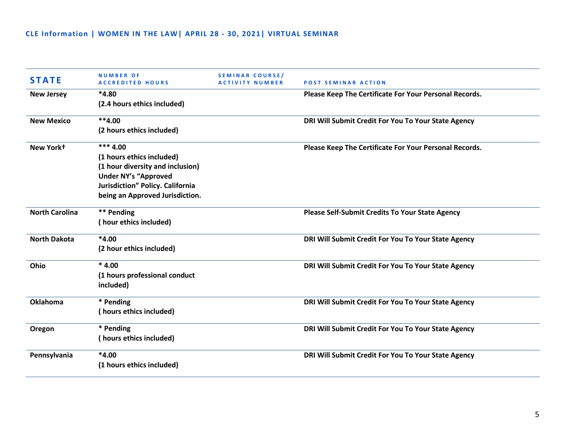| <b>STATE</b>          | <b>NUMBER OF</b><br><b>ACCREDITED HOURS</b> | SEMINAR COURSE/<br>ACTIVITY NUMBER | <b>POST SEMINAR ACTION</b>                             |
|-----------------------|---------------------------------------------|------------------------------------|--------------------------------------------------------|
| <b>New Jersey</b>     | $*4.80$                                     |                                    | Please Keep The Certificate For Your Personal Records. |
|                       | (2.4 hours ethics included)                 |                                    |                                                        |
| <b>New Mexico</b>     | $**4.00$                                    |                                    | DRI Will Submit Credit For You To Your State Agency    |
|                       | (2 hours ethics included)                   |                                    |                                                        |
| New York+             | $***$ 4.00                                  |                                    | Please Keep The Certificate For Your Personal Records. |
|                       | (1 hours ethics included)                   |                                    |                                                        |
|                       | (1 hour diversity and inclusion)            |                                    |                                                        |
|                       | <b>Under NY's "Approved</b>                 |                                    |                                                        |
|                       | Jurisdiction" Policy. California            |                                    |                                                        |
|                       | being an Approved Jurisdiction.             |                                    |                                                        |
| <b>North Carolina</b> | ** Pending                                  |                                    | <b>Please Self-Submit Credits To Your State Agency</b> |
|                       | (hour ethics included)                      |                                    |                                                        |
| <b>North Dakota</b>   | $*4.00$                                     |                                    | DRI Will Submit Credit For You To Your State Agency    |
|                       | (2 hour ethics included)                    |                                    |                                                        |
| Ohio                  | $*4.00$                                     |                                    | DRI Will Submit Credit For You To Your State Agency    |
|                       | (1 hours professional conduct               |                                    |                                                        |
|                       | included)                                   |                                    |                                                        |
| <b>Oklahoma</b>       | * Pending                                   |                                    | DRI Will Submit Credit For You To Your State Agency    |
|                       | (hours ethics included)                     |                                    |                                                        |
| Oregon                | * Pending                                   |                                    | DRI Will Submit Credit For You To Your State Agency    |
|                       | (hours ethics included)                     |                                    |                                                        |
| Pennsylvania          | $*4.00$                                     |                                    | DRI Will Submit Credit For You To Your State Agency    |
|                       | (1 hours ethics included)                   |                                    |                                                        |
|                       |                                             |                                    |                                                        |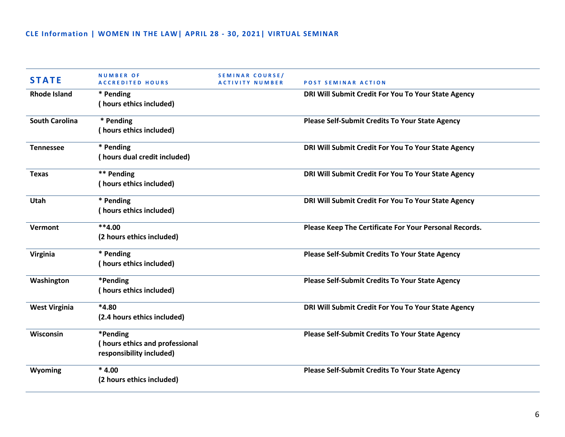| <b>STATE</b>          | <b>NUMBER OF</b><br><b>ACCREDITED HOURS</b>                            | SEMINAR COURSE/<br><b>ACTIVITY NUMBER</b> | <b>POST SEMINAR ACTION</b>                             |
|-----------------------|------------------------------------------------------------------------|-------------------------------------------|--------------------------------------------------------|
| <b>Rhode Island</b>   | * Pending<br>(hours ethics included)                                   |                                           | DRI Will Submit Credit For You To Your State Agency    |
| <b>South Carolina</b> | * Pending<br>(hours ethics included)                                   |                                           | <b>Please Self-Submit Credits To Your State Agency</b> |
| <b>Tennessee</b>      | * Pending<br>(hours dual credit included)                              |                                           | DRI Will Submit Credit For You To Your State Agency    |
| <b>Texas</b>          | ** Pending<br>(hours ethics included)                                  |                                           | DRI Will Submit Credit For You To Your State Agency    |
| <b>Utah</b>           | * Pending<br>(hours ethics included)                                   |                                           | DRI Will Submit Credit For You To Your State Agency    |
| Vermont               | $**4.00$<br>(2 hours ethics included)                                  |                                           | Please Keep The Certificate For Your Personal Records. |
| Virginia              | * Pending<br>(hours ethics included)                                   |                                           | <b>Please Self-Submit Credits To Your State Agency</b> |
| Washington            | *Pending<br>(hours ethics included)                                    |                                           | <b>Please Self-Submit Credits To Your State Agency</b> |
| <b>West Virginia</b>  | $*4.80$<br>(2.4 hours ethics included)                                 |                                           | DRI Will Submit Credit For You To Your State Agency    |
| Wisconsin             | *Pending<br>(hours ethics and professional<br>responsibility included) |                                           | <b>Please Self-Submit Credits To Your State Agency</b> |
| Wyoming               | $*4.00$<br>(2 hours ethics included)                                   |                                           | <b>Please Self-Submit Credits To Your State Agency</b> |